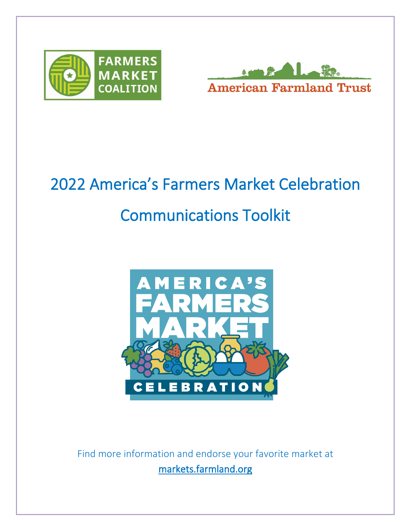



# 2022 America's Farmers Market Celebration Communications Toolkit



Find more information and endorse your favorite market at markets.farmland.org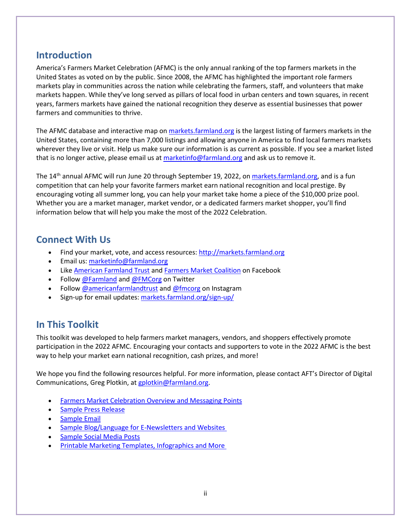# **Introduction**

America's Farmers Market Celebration (AFMC) is the only annual ranking of the top farmers markets in the United States as voted on by the public. Since 2008, the AFMC has highlighted the important role farmers markets play in communities across the nation while celebrating the farmers, staff, and volunteers that make markets happen. While they've long served as pillars of local food in urban centers and town squares, in recent years, farmers markets have gained the national recognition they deserve as essential businesses that power farmers and communities to thrive.

The AFMC database and interactive map o[n markets.farmland.org](https://markets.farmland.org/) is the largest listing of farmers markets in the United States, containing more than 7,000 listings and allowing anyone in America to find local farmers markets wherever they live or visit. Help us make sure our information is as current as possible. If you see a market listed that is no longer active, please email us a[t marketinfo@farmland.org](mailto:marketinfo@farmland.org) and ask us to remove it.

The 14<sup>th</sup> annual AFMC will run June 20 through September 19, 2022, on *markets.farmland.org*, and is a fun competition that can help your favorite farmers market earn national recognition and local prestige. By encouraging voting all summer long, you can help your market take home a piece of the \$10,000 prize pool. Whether you are a market manager, market vendor, or a dedicated farmers market shopper, you'll find information below that will help you make the most of the 2022 Celebration.

# **Connect With Us**

- Find your market, vote, and access resources: [http://markets.farmland.org](http://markets.farmland.org/)
- Email us: [marketinfo@farmland.org](mailto:marketinfo@farmland.org)
- Like [American Farmland Trust](http://www.facebook.com/americanfarmland) and [Farmers Market Coalition](https://www.facebook.com/fmc.org/) on Facebook
- Follow [@Farmland](http://www.twitter.com/farmland) and [@FMCorg](https://twitter.com/FMCorg) on Twitter
- Follow [@americanfarmlandtrust](http://www.instagram.com/americanfarmlandtrust) and [@fmcorg](https://www.instagram.com/fmcorg) on Instagram
- Sign-up for email updates: [markets.farmland.org/sign-up/](https://markets.farmland.org/sign-up/)

# **In This Toolkit**

This toolkit was developed to help farmers market managers, vendors, and shoppers effectively promote participation in the 2022 AFMC. Encouraging your contacts and supporters to vote in the 2022 AFMC is the best way to help your market earn national recognition, cash prizes, and more!

We hope you find the following resources helpful. For more information, please contact AFT's Director of Digital Communications, Greg Plotkin, at [gplotkin@farmland.org.](mailto:gplotkin@farmland.org)

- [Farmers Market Celebration](#page-2-0) Overview and Messaging Points
- Sample Press Release
- [Sample Email](#page-4-0)
- **[Sample Blog/Language](#page-5-0) for E-Newsletters and Websites**
- [Sample Social](#page-5-1) Media Posts
- [Printable Marketing Templates, Infographics and](#page-6-0) More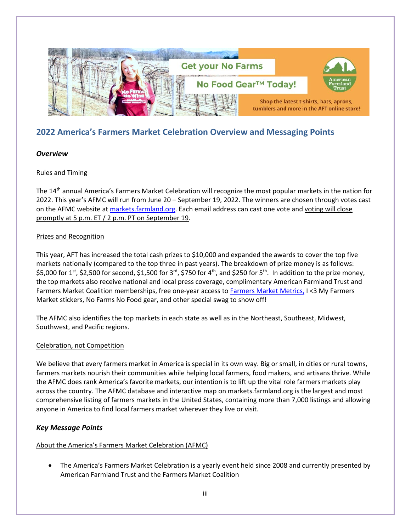

# <span id="page-2-0"></span>**2022 America's Farmers Market Celebration Overview and Messaging Points**

#### *Overview*

#### Rules and Timing

The 14<sup>th</sup> annual America's Farmers Market Celebration will recognize the most popular markets in the nation for 2022. This year's AFMC will run from June 20 – September 19, 2022. The winners are chosen through votes cast on the AFMC website at markets.farmland.org. Each email address can cast one vote and voting will close promptly at 5 p.m. ET / 2 p.m. PT on September 19.

#### Prizes and Recognition

This year, AFT has increased the total cash prizes to \$10,000 and expanded the awards to cover the top five markets nationally (compared to the top three in past years). The breakdown of prize money is as follows: \$5,000 for 1<sup>st</sup>, \$2,500 for second, \$1,500 for 3<sup>rd</sup>, \$750 for 4<sup>th</sup>, and \$250 for 5<sup>th</sup>. In addition to the prize money, the top markets also receive national and local press coverage, complimentary American Farmland Trust and Farmers Market Coalition memberships, free one-year access t[o Farmers Market Metrics,](https://farmersmarketmetrics.guide/) I <3 My Farmers Market stickers, No Farms No Food gear, and other special swag to show off!

The AFMC also identifies the top markets in each state as well as in the Northeast, Southeast, Midwest, Southwest, and Pacific regions.

#### Celebration, not Competition

We believe that every farmers market in America is special in its own way. Big or small, in cities or rural towns, farmers markets nourish their communities while helping local farmers, food makers, and artisans thrive. While the AFMC does rank America's favorite markets, our intention is to lift up the vital role farmers markets play across the country. The AFMC database and interactive map on markets.farmland.org is the largest and most comprehensive listing of farmers markets in the United States, containing more than 7,000 listings and allowing anyone in America to find local farmers market wherever they live or visit.

#### *Key Message Points*

#### About the America's Farmers Market Celebration (AFMC)

• The America's Farmers Market Celebration is a yearly event held since 2008 and currently presented by American Farmland Trust and the Farmers Market Coalition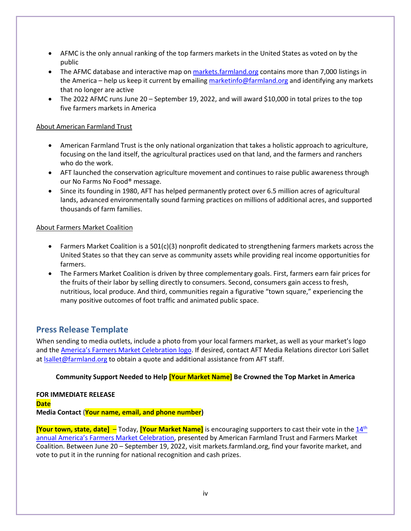- AFMC is the only annual ranking of the top farmers markets in the United States as voted on by the public
- The AFMC database and interactive map o[n markets.farmland.org](https://markets.farmland.org/) contains more than 7,000 listings in the America – help us keep it current by emailin[g marketinfo@farmland.org](mailto:marketinfo@farmland.org) and identifying any markets that no longer are active
- The 2022 AFMC runs June 20 September 19, 2022, and will award \$10,000 in total prizes to the top five farmers markets in America

#### About American Farmland Trust

- American Farmland Trust is the only national organization that takes a holistic approach to agriculture, focusing on the land itself, the agricultural practices used on that land, and the farmers and ranchers who do the work.
- AFT launched the conservation agriculture movement and continues to raise public awareness through our No Farms No Food® message.
- Since its founding in 1980, AFT has helped permanently protect over 6.5 million acres of agricultural lands, advanced environmentally sound farming practices on millions of additional acres, and supported thousands of farm families.

#### About Farmers Market Coalition

- Farmers Market Coalition is a 501(c)(3) nonprofit dedicated to strengthening farmers markets across the United States so that they can serve as community assets while providing real income opportunities for farmers.
- The Farmers Market Coalition is driven by three complementary goals. First, farmers earn fair prices for the fruits of their labor by selling directly to consumers. Second, consumers gain access to fresh, nutritious, local produce. And third, communities regain a figurative "town square," experiencing the many positive outcomes of foot traffic and animated public space.

#### **Press Release Template**

When sending to media outlets, include a photo from your local farmers market, as well as your market's logo and th[e America's Farmers Market Celebration logo.](https://markets.farmland.org/wp-content/uploads/2021/05/AFT_AFMC-logo.png) If desired, contact AFT Media Relations director Lori Sallet at [lsallet@farmland.org](mailto:lsallet@farmland.org) to obtain a quote and additional assistance from AFT staff.

#### **Community Support Needed to Help [Your Market Name] Be Crowned the Top Market in America**

#### **FOR IMMEDIATE RELEASE Date Media Contact** (**Your name, email, and phone number)**

**[Your town, state, date]** – Today, **[Your Market Name]** is encouraging supporters to cast their vote in the [14th](https://markets.farmland.org/) [annual America's Farmers Market Celebration,](https://markets.farmland.org/) presented by American Farmland Trust and Farmers Market Coalition. Between June 20 – September 19, 2022, visit markets.farmland.org, find your favorite market, and vote to put it in the running for national recognition and cash prizes.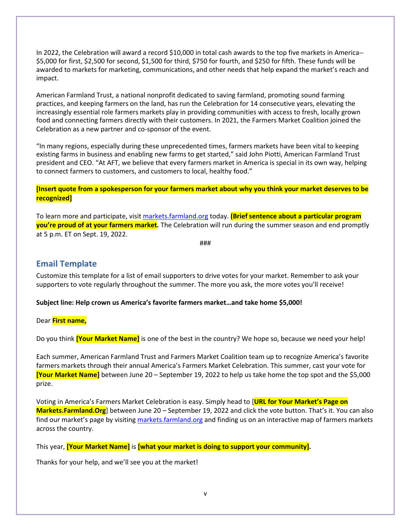In 2022, the Celebration will award a record \$10,000 in total cash awards to the top five markets in America-- \$5,000 for first, \$2,500 for second, \$1,500 for third, \$750 for fourth, and \$250 for fifth. These funds will be awarded to markets for marketing, communications, and other needs that help expand the market's reach and impact.

American Farmland Trust, a national nonprofit dedicated to saving farmland, promoting sound farming practices, and keeping farmers on the land, has run the Celebration for 14 consecutive years, elevating the increasingly essential role farmers markets play in providing communities with access to fresh, locally grown food and connecting farmers directly with their customers. In 2021, the Farmers Market Coalition joined the Celebration as a new partner and co-sponsor of the event.

"In many regions, especially during these unprecedented times, farmers markets have been vital to keeping existing farms in business and enabling new farms to get started," said John Piotti, American Farmland Trust president and CEO. "At AFT, we believe that every farmers market in America is special in its own way, helping to connect farmers to customers, and customers to local, healthy food."

**[Insert quote from a spokesperson for your farmers market about why you think your market deserves to be recognized]**

To learn more and participate, visit [markets.farmland.org](http://markets.farmland.org/) today. **(Brief sentence about a particular program you're proud of at your farmers market.** The Celebration will run during the summer season and end promptly at 5 p.m. ET on Sept. 19, 2022.

###

#### <span id="page-4-0"></span>**Email Template**

Customize this template for a list of email supporters to drive votes for your market. Remember to ask your supporters to vote regularly throughout the summer. The more you ask, the more votes you'll receive!

#### **Subject line: Help crown us America's favorite farmers market…and take home \$5,000!**

Dear **First name,**

Do you think **[Your Market Name]** is one of the best in the country? We hope so, because we need your help!

Each summer, American Farmland Trust and Farmers Market Coalition team up to recognize America's favorite farmers markets through their annual America's Farmers Market Celebration. This summer, cast your vote for **[Your Market Name]** between June 20 – September 19, 2022 to help us take home the top spot and the \$5,000 prize.

Voting in America's Farmers Market Celebration is easy. Simply head to [**URL for Your Market's Page on Markets.Farmland.Org**] between June 20 – September 19, 2022 and click the vote button. That's it. You can also find our market's page by visiting [markets.farmland.org](https://markets.farmland.org/) and finding us on an interactive map of farmers markets across the country.

This year, **[Your Market Name]** is **[what your market is doing to support your community].**

Thanks for your help, and we'll see you at the market!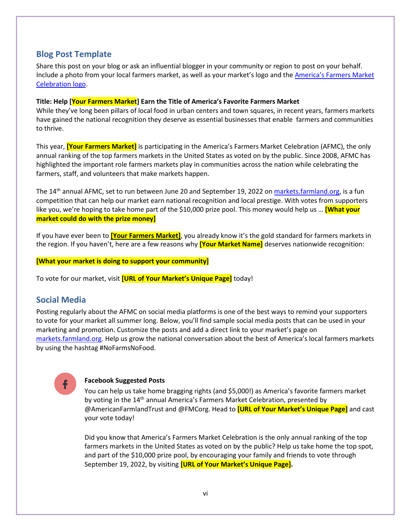### <span id="page-5-0"></span>**Blog Post Template**

Share this post on your blog or ask an influential blogger in your community or region to post on your behalf. Include a photo from your local farmers market, as well as your market's logo and the **America's Farmers Market** [Celebration logo.](https://markets.farmland.org/wp-content/uploads/2021/05/AFT_AFMC-logo.png)

#### **Title: Help [Your Farmers Market] Earn the Title of America's Favorite Farmers Market**

While they've long been pillars of local food in urban centers and town squares, in recent years, farmers markets have gained the national recognition they deserve as essential businesses that enable farmers and communities to thrive.

This year, **[Your Farmers Market]** is participating in the America's Farmers Market Celebration (AFMC), the only annual ranking of the top farmers markets in the United States as voted on by the public. Since 2008, AFMC has highlighted the important role farmers markets play in communities across the nation while celebrating the farmers, staff, and volunteers that make markets happen.

The 14<sup>th</sup> annual AFMC, set to run between June 20 and September 19, 2022 o[n markets.farmland.org,](https://markets.farmland.org/) is a fun competition that can help our market earn national recognition and local prestige. With votes from supporters like you, we're hoping to take home part of the \$10,000 prize pool. This money would help us … **[What your market could do with the prize money]**

If you have ever been to **[Your Farmers Market]**, you already know it's the gold standard for farmers markets in the region. If you haven't, here are a few reasons why **[Your Market Name]** deserves nationwide recognition:

**[What your market is doing to support your community]**

To vote for our market, visit **[URL of Your Market's Unique Page]** today!

## <span id="page-5-1"></span>**Social Media**

Posting regularly about the AFMC on social media platforms is one of the best ways to remind your supporters to vote for your market all summer long. Below, you'll find sample social media posts that can be used in your marketing and promotion. Customize the posts and add a direct link to your market's page on [markets.farmland.org.](https://markets.farmland.org/) Help us grow the national conversation about the best of America's local farmers markets by using the hashtag #NoFarmsNoFood.

#### **Facebook Suggested Posts**

You can help us take home bragging rights (and \$5,000!) as America's favorite farmers market by voting in the 14<sup>th</sup> annual America's Farmers Market Celebration, presented by @AmericanFarmlandTrust and @FMCorg. Head to **[URL of Your Market's Unique Page]** and cast your vote today!

Did you know that America's Farmers Market Celebration is the only annual ranking of the top farmers markets in the United States as voted on by the public? Help us take home the top spot, and part of the \$10,000 prize pool, by encouraging your family and friends to vote through September 19, 2022, by visiting **[URL of Your Market's Unique Page].**